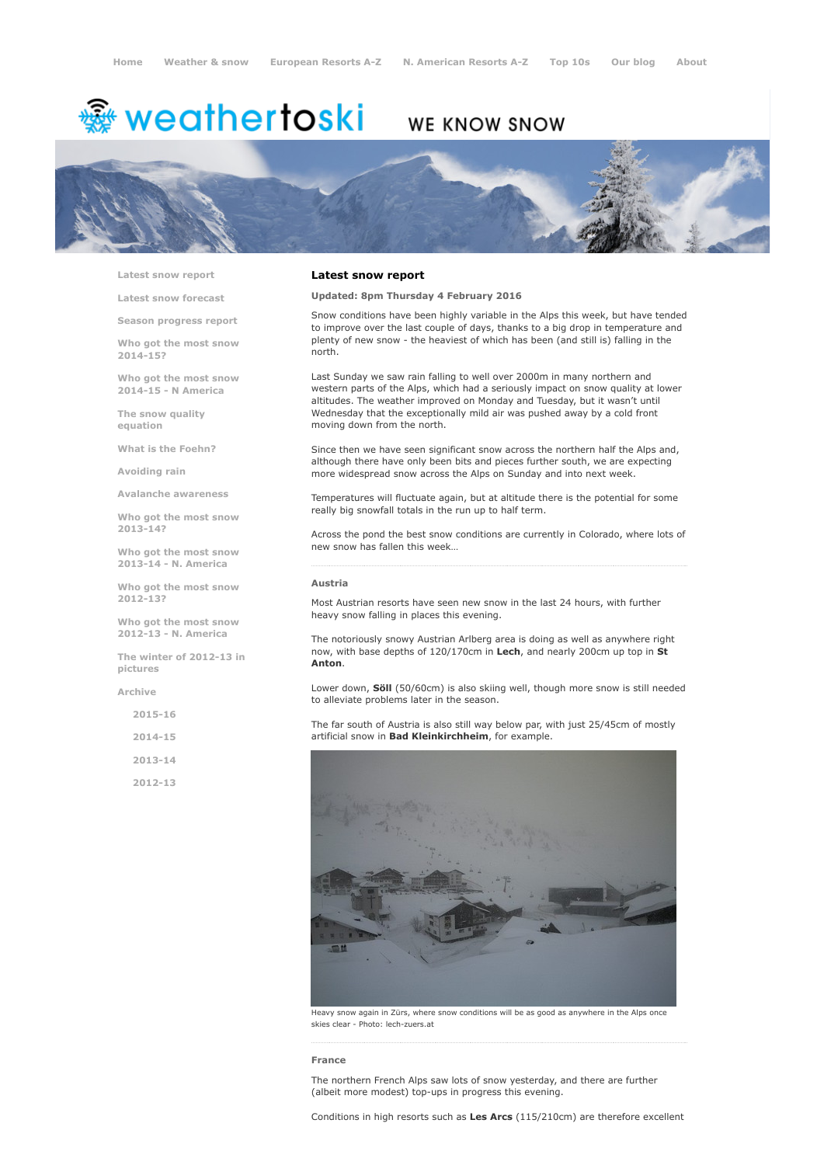# <sup>霧</sup> weathertoski

# WE KNOW SNOW



Latest snow [report](http://www.weathertoski.co.uk/weather-snow/latest-snow-report/)

Latest snow [forecast](http://www.weathertoski.co.uk/weather-snow/latest-snow-forecast/)

Season [progress](http://www.weathertoski.co.uk/weather-snow/season-progress-report/) report

Who got the most snow 2014-15?

Who got the most snow 2014-15 - N America

The snow quality [equation](http://www.weathertoski.co.uk/weather-snow/the-snow-quality-equation/)

What is the [Foehn?](http://www.weathertoski.co.uk/weather-snow/what-is-the-foehn/)

[Avoiding](http://www.weathertoski.co.uk/weather-snow/avoiding-rain/) rain

Avalanche [awareness](http://www.weathertoski.co.uk/weather-snow/avalanche-awareness/)

Who got the most snow 2013-14?

Who got the most snow 2013-14 - N. America

Who got the most snow 2012-13?

Who got the most snow 2012-13 - N. America

The winter of 2012-13 in pictures

[Archive](http://www.weathertoski.co.uk/weather-snow/archive/)

2015-16

2014-15

2013-14

2012-13

# Latest snow report

Updated: 8pm Thursday 4 February 2016

Snow conditions have been highly variable in the Alps this week, but have tended to improve over the last couple of days, thanks to a big drop in temperature and plenty of new snow - the heaviest of which has been (and still is) falling in the north.

Last Sunday we saw rain falling to well over 2000m in many northern and western parts of the Alps, which had a seriously impact on snow quality at lower altitudes. The weather improved on Monday and Tuesday, but it wasn't until Wednesday that the exceptionally mild air was pushed away by a cold front moving down from the north.

Since then we have seen significant snow across the northern half the Alps and, although there have only been bits and pieces further south, we are expecting more widespread snow across the Alps on Sunday and into next week.

Temperatures will fluctuate again, but at altitude there is the potential for some really big snowfall totals in the run up to half term.

Across the pond the best snow conditions are currently in Colorado, where lots of new snow has fallen this week…

# Austria

Most Austrian resorts have seen new snow in the last 24 hours, with further heavy snow falling in places this evening.

The notoriously snowy Austrian Arlberg area is doing as well as anywhere right now, with base depths of 120/170cm in Lech, and nearly 200cm up top in St Anton.

Lower down, **Söll** (50/60cm) is also skiing well, though more snow is still needed to alleviate problems later in the season.

The far south of Austria is also still way below par, with just 25/45cm of mostly artificial snow in Bad Kleinkirchheim, for example.



Heavy snow again in Zürs, where snow conditions will be as good as anywhere in the Alps once skies clear - Photo: lech-zuers.at

#### France

The northern French Alps saw lots of snow yesterday, and there are further (albeit more modest) top-ups in progress this evening.

Conditions in high resorts such as Les Arcs (115/210cm) are therefore excellent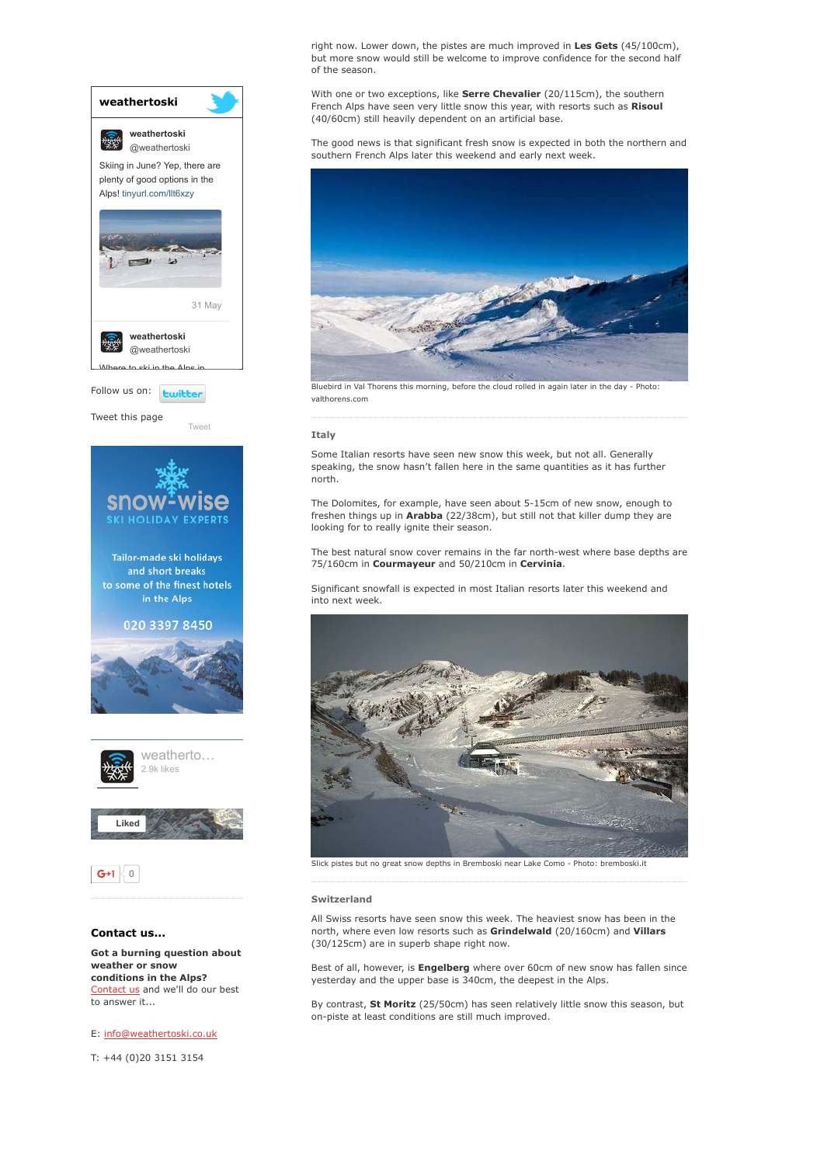

conditions in the Alps? [Contact](http://www.weathertoski.co.uk/about-1/contact-us/) us and we'll do our best to answer it...

E: [info@weathertoski.co.uk](mailto:fraser@weathertoski.co.uk)

T: +44 (0)20 3151 3154

right now. Lower down, the pistes are much improved in Les Gets (45/100cm), but more snow would still be welcome to improve confidence for the second half of the season.

With one or two exceptions, like Serre Chevalier (20/115cm), the southern French Alps have seen very little snow this year, with resorts such as Risoul (40/60cm) still heavily dependent on an artificial base.

The good news is that significant fresh snow is expected in both the northern and southern French Alps later this weekend and early next week.



Bluebird in Val Thorens this morning, before the cloud rolled in again later in the day - Photo: valthorens.com

# Italy

Some Italian resorts have seen new snow this week, but not all. Generally speaking, the snow hasn't fallen here in the same quantities as it has further north.

The Dolomites, for example, have seen about 5-15cm of new snow, enough to freshen things up in Arabba (22/38cm), but still not that killer dump they are looking for to really ignite their season.

The best natural snow cover remains in the far north-west where base depths are 75/160cm in Courmayeur and 50/210cm in Cervinia.

Significant snowfall is expected in most Italian resorts later this weekend and into next week.



Slick pistes but no great snow depths in Bremboski near Lake Como Photo: bremboski.it

## Switzerland

All Swiss resorts have seen snow this week. The heaviest snow has been in the north, where even low resorts such as Grindelwald (20/160cm) and Villars (30/125cm) are in superb shape right now.

Best of all, however, is **Engelberg** where over 60cm of new snow has fallen since yesterday and the upper base is 340cm, the deepest in the Alps.

By contrast, St Moritz (25/50cm) has seen relatively little snow this season, but on-piste at least conditions are still much improved.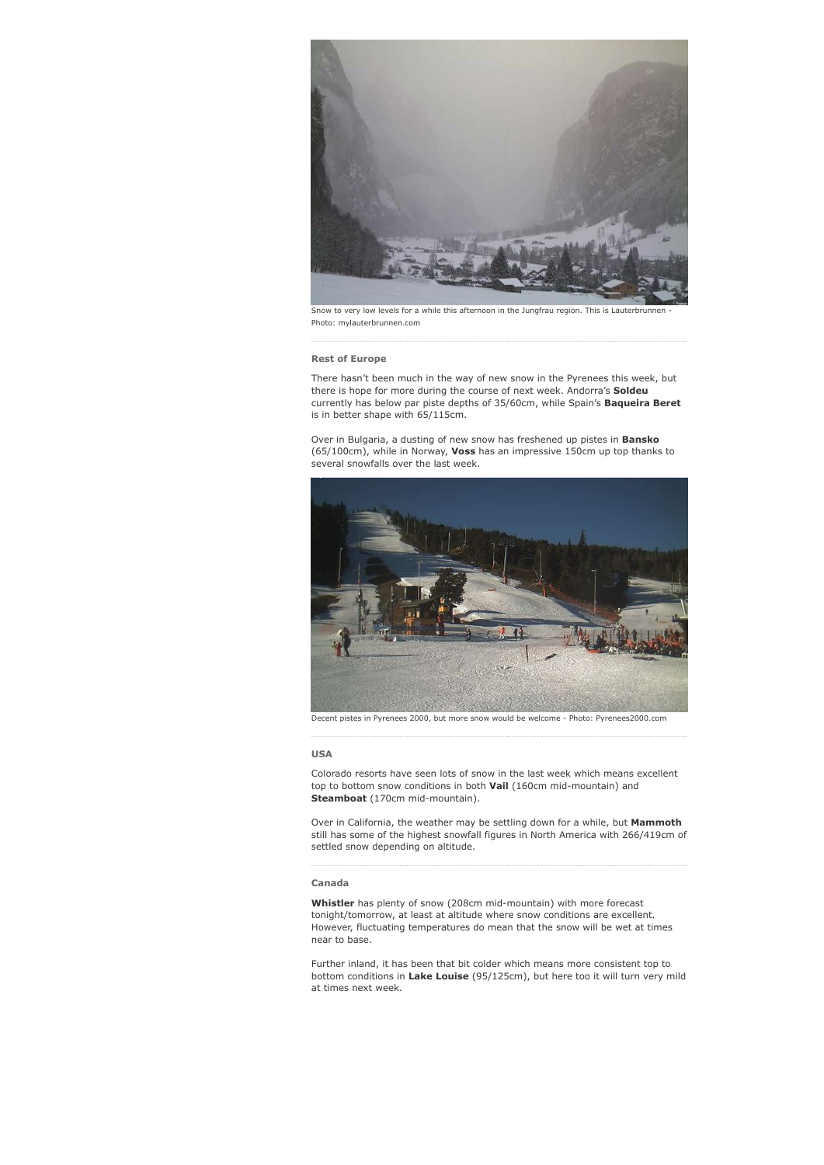

Snow to very low levels for a while this afternoon in the Jungfrau region. This is Lauterbrunnen Photo: mylauterbrunnen.com

# Rest of Europe

There hasn't been much in the way of new snow in the Pyrenees this week, but there is hope for more during the course of next week. Andorra's **Soldeu** currently has below par piste depths of 35/60cm, while Spain's Baqueira Beret is in better shape with 65/115cm.

Over in Bulgaria, a dusting of new snow has freshened up pistes in **Bansko** (65/100cm), while in Norway, Voss has an impressive 150cm up top thanks to several snowfalls over the last week.



Decent pistes in Pyrenees 2000, but more snow would be welcome Photo: Pyrenees2000.com

# USA

Colorado resorts have seen lots of snow in the last week which means excellent top to bottom snow conditions in both  $\textsf{Vail}$  (160cm mid-mountain) and Steamboat (170cm mid-mountain).

Over in California, the weather may be settling down for a while, but Mammoth still has some of the highest snowfall figures in North America with 266/419cm of settled snow depending on altitude.

### Canada

Whistler has plenty of snow (208cm mid-mountain) with more forecast tonight/tomorrow, at least at altitude where snow conditions are excellent. However, fluctuating temperatures do mean that the snow will be wet at times near to base.

Further inland, it has been that bit colder which means more consistent top to bottom conditions in Lake Louise (95/125cm), but here too it will turn very mild at times next week.